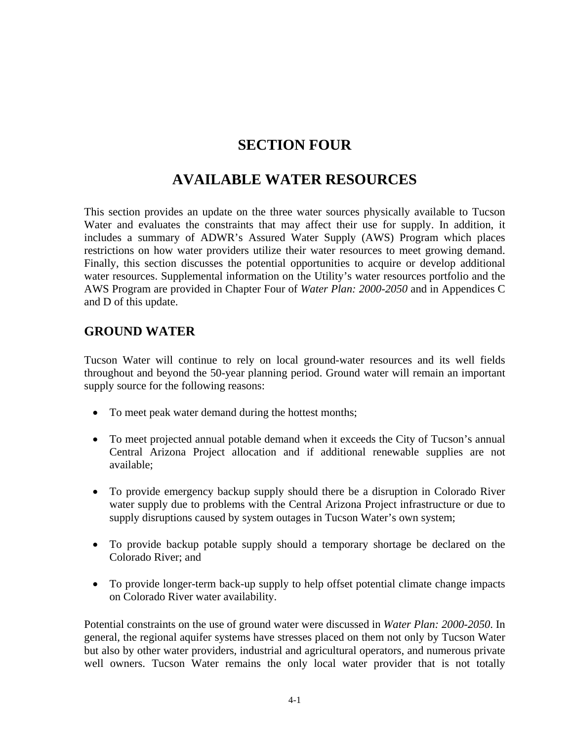# **SECTION FOUR**

# **AVAILABLE WATER RESOURCES**

This section provides an update on the three water sources physically available to Tucson Water and evaluates the constraints that may affect their use for supply. In addition, it includes a summary of ADWR's Assured Water Supply (AWS) Program which places restrictions on how water providers utilize their water resources to meet growing demand. Finally, this section discusses the potential opportunities to acquire or develop additional water resources. Supplemental information on the Utility's water resources portfolio and the AWS Program are provided in Chapter Four of *Water Plan: 2000-2050* and in Appendices C and D of this update.

# **GROUND WATER**

Tucson Water will continue to rely on local ground-water resources and its well fields throughout and beyond the 50-year planning period. Ground water will remain an important supply source for the following reasons:

- To meet peak water demand during the hottest months;
- To meet projected annual potable demand when it exceeds the City of Tucson's annual Central Arizona Project allocation and if additional renewable supplies are not available;
- To provide emergency backup supply should there be a disruption in Colorado River water supply due to problems with the Central Arizona Project infrastructure or due to supply disruptions caused by system outages in Tucson Water's own system;
- To provide backup potable supply should a temporary shortage be declared on the Colorado River; and
- To provide longer-term back-up supply to help offset potential climate change impacts on Colorado River water availability.

Potential constraints on the use of ground water were discussed in *Water Plan: 2000-2050*. In general, the regional aquifer systems have stresses placed on them not only by Tucson Water but also by other water providers, industrial and agricultural operators, and numerous private well owners. Tucson Water remains the only local water provider that is not totally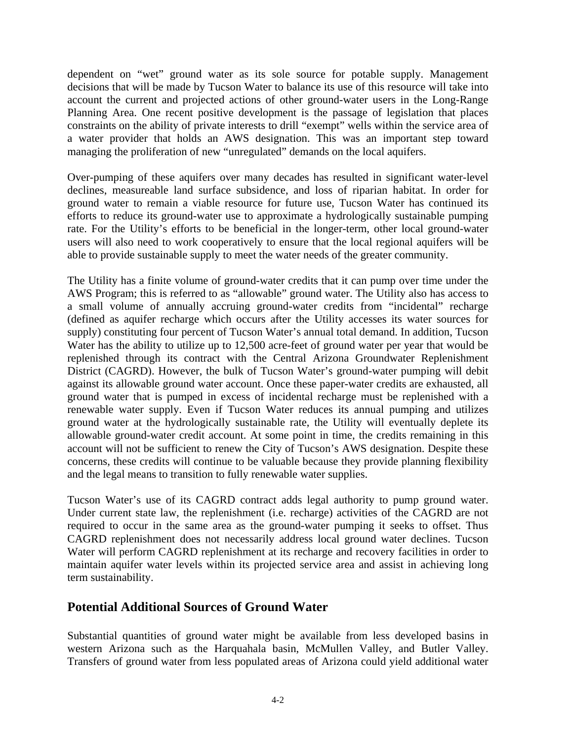dependent on "wet" ground water as its sole source for potable supply. Management decisions that will be made by Tucson Water to balance its use of this resource will take into account the current and projected actions of other ground-water users in the Long-Range Planning Area. One recent positive development is the passage of legislation that places constraints on the ability of private interests to drill "exempt" wells within the service area of a water provider that holds an AWS designation. This was an important step toward managing the proliferation of new "unregulated" demands on the local aquifers.

Over-pumping of these aquifers over many decades has resulted in significant water-level declines, measureable land surface subsidence, and loss of riparian habitat. In order for ground water to remain a viable resource for future use, Tucson Water has continued its efforts to reduce its ground-water use to approximate a hydrologically sustainable pumping rate. For the Utility's efforts to be beneficial in the longer-term, other local ground-water users will also need to work cooperatively to ensure that the local regional aquifers will be able to provide sustainable supply to meet the water needs of the greater community.

The Utility has a finite volume of ground-water credits that it can pump over time under the AWS Program; this is referred to as "allowable" ground water. The Utility also has access to a small volume of annually accruing ground-water credits from "incidental" recharge (defined as aquifer recharge which occurs after the Utility accesses its water sources for supply) constituting four percent of Tucson Water's annual total demand. In addition, Tucson Water has the ability to utilize up to 12,500 acre-feet of ground water per year that would be replenished through its contract with the Central Arizona Groundwater Replenishment District (CAGRD). However, the bulk of Tucson Water's ground-water pumping will debit against its allowable ground water account. Once these paper-water credits are exhausted, all ground water that is pumped in excess of incidental recharge must be replenished with a renewable water supply. Even if Tucson Water reduces its annual pumping and utilizes ground water at the hydrologically sustainable rate, the Utility will eventually deplete its allowable ground-water credit account. At some point in time, the credits remaining in this account will not be sufficient to renew the City of Tucson's AWS designation. Despite these concerns, these credits will continue to be valuable because they provide planning flexibility and the legal means to transition to fully renewable water supplies.

Tucson Water's use of its CAGRD contract adds legal authority to pump ground water. Under current state law, the replenishment (i.e. recharge) activities of the CAGRD are not required to occur in the same area as the ground-water pumping it seeks to offset. Thus CAGRD replenishment does not necessarily address local ground water declines. Tucson Water will perform CAGRD replenishment at its recharge and recovery facilities in order to maintain aquifer water levels within its projected service area and assist in achieving long term sustainability.

#### **Potential Additional Sources of Ground Water**

Substantial quantities of ground water might be available from less developed basins in western Arizona such as the Harquahala basin, McMullen Valley, and Butler Valley. Transfers of ground water from less populated areas of Arizona could yield additional water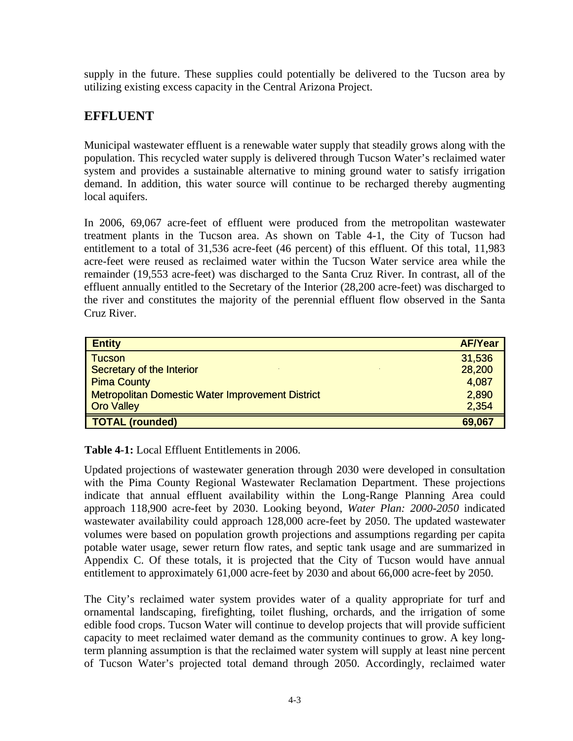supply in the future. These supplies could potentially be delivered to the Tucson area by utilizing existing excess capacity in the Central Arizona Project.

# **EFFLUENT**

Municipal wastewater effluent is a renewable water supply that steadily grows along with the population. This recycled water supply is delivered through Tucson Water's reclaimed water system and provides a sustainable alternative to mining ground water to satisfy irrigation demand. In addition, this water source will continue to be recharged thereby augmenting local aquifers.

In 2006, 69,067 acre-feet of effluent were produced from the metropolitan wastewater treatment plants in the Tucson area. As shown on Table 4-1, the City of Tucson had entitlement to a total of 31,536 acre-feet (46 percent) of this effluent. Of this total, 11,983 acre-feet were reused as reclaimed water within the Tucson Water service area while the remainder (19,553 acre-feet) was discharged to the Santa Cruz River. In contrast, all of the effluent annually entitled to the Secretary of the Interior (28,200 acre-feet) was discharged to the river and constitutes the majority of the perennial effluent flow observed in the Santa Cruz River.

| <b>Entity</b>                                           | <b>AF/Year</b> |
|---------------------------------------------------------|----------------|
| <b>Tucson</b>                                           | 31,536         |
| Secretary of the Interior                               | 28,200         |
| <b>Pima County</b>                                      | 4,087          |
| <b>Metropolitan Domestic Water Improvement District</b> | 2,890          |
| <b>Oro Valley</b>                                       | 2,354          |
| <b>TOTAL (rounded)</b>                                  | 69,067         |

**Table 4-1:** Local Effluent Entitlements in 2006.

Updated projections of wastewater generation through 2030 were developed in consultation with the Pima County Regional Wastewater Reclamation Department. These projections indicate that annual effluent availability within the Long-Range Planning Area could approach 118,900 acre-feet by 2030. Looking beyond, *Water Plan: 2000-2050* indicated wastewater availability could approach 128,000 acre-feet by 2050. The updated wastewater volumes were based on population growth projections and assumptions regarding per capita potable water usage, sewer return flow rates, and septic tank usage and are summarized in Appendix C. Of these totals, it is projected that the City of Tucson would have annual entitlement to approximately 61,000 acre-feet by 2030 and about 66,000 acre-feet by 2050.

The City's reclaimed water system provides water of a quality appropriate for turf and ornamental landscaping, firefighting, toilet flushing, orchards, and the irrigation of some edible food crops. Tucson Water will continue to develop projects that will provide sufficient capacity to meet reclaimed water demand as the community continues to grow. A key longterm planning assumption is that the reclaimed water system will supply at least nine percent of Tucson Water's projected total demand through 2050. Accordingly, reclaimed water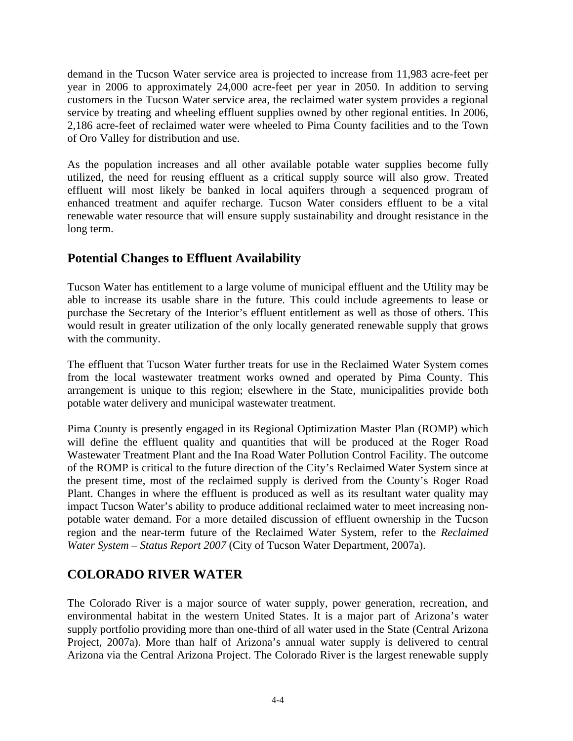demand in the Tucson Water service area is projected to increase from 11,983 acre-feet per year in 2006 to approximately 24,000 acre-feet per year in 2050. In addition to serving customers in the Tucson Water service area, the reclaimed water system provides a regional service by treating and wheeling effluent supplies owned by other regional entities. In 2006, 2,186 acre-feet of reclaimed water were wheeled to Pima County facilities and to the Town of Oro Valley for distribution and use.

As the population increases and all other available potable water supplies become fully utilized, the need for reusing effluent as a critical supply source will also grow. Treated effluent will most likely be banked in local aquifers through a sequenced program of enhanced treatment and aquifer recharge. Tucson Water considers effluent to be a vital renewable water resource that will ensure supply sustainability and drought resistance in the long term.

### **Potential Changes to Effluent Availability**

Tucson Water has entitlement to a large volume of municipal effluent and the Utility may be able to increase its usable share in the future. This could include agreements to lease or purchase the Secretary of the Interior's effluent entitlement as well as those of others. This would result in greater utilization of the only locally generated renewable supply that grows with the community.

The effluent that Tucson Water further treats for use in the Reclaimed Water System comes from the local wastewater treatment works owned and operated by Pima County. This arrangement is unique to this region; elsewhere in the State, municipalities provide both potable water delivery and municipal wastewater treatment.

Pima County is presently engaged in its Regional Optimization Master Plan (ROMP) which will define the effluent quality and quantities that will be produced at the Roger Road Wastewater Treatment Plant and the Ina Road Water Pollution Control Facility. The outcome of the ROMP is critical to the future direction of the City's Reclaimed Water System since at the present time, most of the reclaimed supply is derived from the County's Roger Road Plant. Changes in where the effluent is produced as well as its resultant water quality may impact Tucson Water's ability to produce additional reclaimed water to meet increasing nonpotable water demand. For a more detailed discussion of effluent ownership in the Tucson region and the near-term future of the Reclaimed Water System, refer to the *Reclaimed Water System – Status Report 2007* (City of Tucson Water Department, 2007a).

# **COLORADO RIVER WATER**

The Colorado River is a major source of water supply, power generation, recreation, and environmental habitat in the western United States. It is a major part of Arizona's water supply portfolio providing more than one-third of all water used in the State (Central Arizona Project, 2007a). More than half of Arizona's annual water supply is delivered to central Arizona via the Central Arizona Project. The Colorado River is the largest renewable supply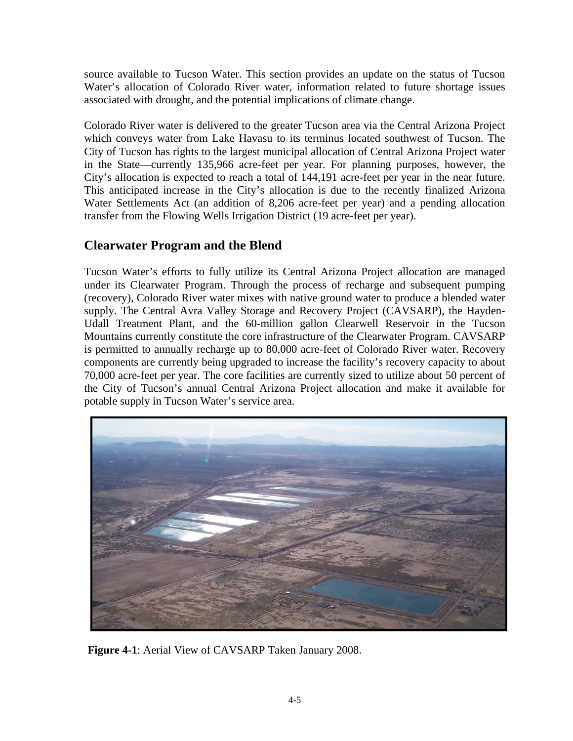source available to Tucson Water. This section provides an update on the status of Tucson Water's allocation of Colorado River water, information related to future shortage issues associated with drought, and the potential implications of climate change.

Colorado River water is delivered to the greater Tucson area via the Central Arizona Project which conveys water from Lake Havasu to its terminus located southwest of Tucson. The City of Tucson has rights to the largest municipal allocation of Central Arizona Project water in the State—currently 135,966 acre-feet per year. For planning purposes, however, the City's allocation is expected to reach a total of 144,191 acre-feet per year in the near future. This anticipated increase in the City's allocation is due to the recently finalized Arizona Water Settlements Act (an addition of 8,206 acre-feet per year) and a pending allocation transfer from the Flowing Wells Irrigation District (19 acre-feet per year).

# **Clearwater Program and the Blend**

Tucson Water's efforts to fully utilize its Central Arizona Project allocation are managed under its Clearwater Program. Through the process of recharge and subsequent pumping (recovery), Colorado River water mixes with native ground water to produce a blended water supply. The Central Avra Valley Storage and Recovery Project (CAVSARP), the Hayden-Udall Treatment Plant, and the 60-million gallon Clearwell Reservoir in the Tucson Mountains currently constitute the core infrastructure of the Clearwater Program. CAVSARP is permitted to annually recharge up to 80,000 acre-feet of Colorado River water. Recovery components are currently being upgraded to increase the facility's recovery capacity to about 70,000 acre-feet per year. The core facilities are currently sized to utilize about 50 percent of the City of Tucson's annual Central Arizona Project allocation and make it available for potable supply in Tucson Water's service area.



**Figure 4-1**: Aerial View of CAVSARP Taken January 2008.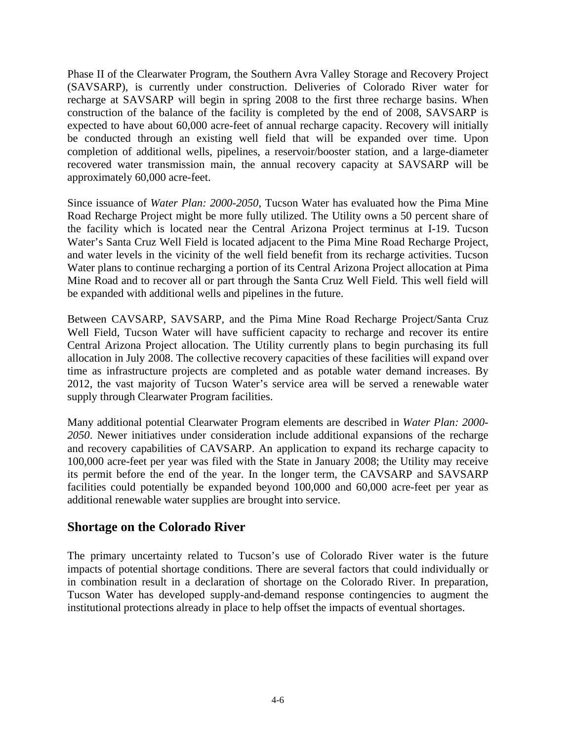Phase II of the Clearwater Program, the Southern Avra Valley Storage and Recovery Project (SAVSARP), is currently under construction. Deliveries of Colorado River water for recharge at SAVSARP will begin in spring 2008 to the first three recharge basins. When construction of the balance of the facility is completed by the end of 2008, SAVSARP is expected to have about 60,000 acre-feet of annual recharge capacity. Recovery will initially be conducted through an existing well field that will be expanded over time. Upon completion of additional wells, pipelines, a reservoir/booster station, and a large-diameter recovered water transmission main, the annual recovery capacity at SAVSARP will be approximately 60,000 acre-feet.

Since issuance of *Water Plan: 2000-2050*, Tucson Water has evaluated how the Pima Mine Road Recharge Project might be more fully utilized. The Utility owns a 50 percent share of the facility which is located near the Central Arizona Project terminus at I-19. Tucson Water's Santa Cruz Well Field is located adjacent to the Pima Mine Road Recharge Project, and water levels in the vicinity of the well field benefit from its recharge activities. Tucson Water plans to continue recharging a portion of its Central Arizona Project allocation at Pima Mine Road and to recover all or part through the Santa Cruz Well Field. This well field will be expanded with additional wells and pipelines in the future.

Between CAVSARP, SAVSARP, and the Pima Mine Road Recharge Project/Santa Cruz Well Field, Tucson Water will have sufficient capacity to recharge and recover its entire Central Arizona Project allocation. The Utility currently plans to begin purchasing its full allocation in July 2008. The collective recovery capacities of these facilities will expand over time as infrastructure projects are completed and as potable water demand increases. By 2012, the vast majority of Tucson Water's service area will be served a renewable water supply through Clearwater Program facilities.

Many additional potential Clearwater Program elements are described in *Water Plan: 2000- 2050*. Newer initiatives under consideration include additional expansions of the recharge and recovery capabilities of CAVSARP. An application to expand its recharge capacity to 100,000 acre-feet per year was filed with the State in January 2008; the Utility may receive its permit before the end of the year. In the longer term, the CAVSARP and SAVSARP facilities could potentially be expanded beyond 100,000 and 60,000 acre-feet per year as additional renewable water supplies are brought into service.

#### **Shortage on the Colorado River**

The primary uncertainty related to Tucson's use of Colorado River water is the future impacts of potential shortage conditions. There are several factors that could individually or in combination result in a declaration of shortage on the Colorado River. In preparation, Tucson Water has developed supply-and-demand response contingencies to augment the institutional protections already in place to help offset the impacts of eventual shortages.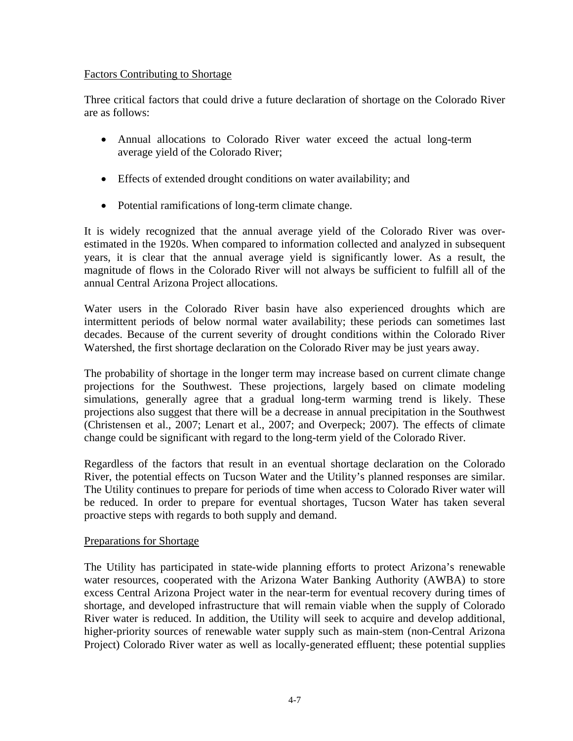#### Factors Contributing to Shortage

Three critical factors that could drive a future declaration of shortage on the Colorado River are as follows:

- Annual allocations to Colorado River water exceed the actual long-term average yield of the Colorado River;
- Effects of extended drought conditions on water availability; and
- Potential ramifications of long-term climate change.

It is widely recognized that the annual average yield of the Colorado River was overestimated in the 1920s. When compared to information collected and analyzed in subsequent years, it is clear that the annual average yield is significantly lower. As a result, the magnitude of flows in the Colorado River will not always be sufficient to fulfill all of the annual Central Arizona Project allocations.

Water users in the Colorado River basin have also experienced droughts which are intermittent periods of below normal water availability; these periods can sometimes last decades. Because of the current severity of drought conditions within the Colorado River Watershed, the first shortage declaration on the Colorado River may be just years away.

The probability of shortage in the longer term may increase based on current climate change projections for the Southwest. These projections, largely based on climate modeling simulations, generally agree that a gradual long-term warming trend is likely. These projections also suggest that there will be a decrease in annual precipitation in the Southwest (Christensen et al., 2007; Lenart et al., 2007; and Overpeck; 2007). The effects of climate change could be significant with regard to the long-term yield of the Colorado River.

Regardless of the factors that result in an eventual shortage declaration on the Colorado River, the potential effects on Tucson Water and the Utility's planned responses are similar. The Utility continues to prepare for periods of time when access to Colorado River water will be reduced. In order to prepare for eventual shortages, Tucson Water has taken several proactive steps with regards to both supply and demand.

#### Preparations for Shortage

The Utility has participated in state-wide planning efforts to protect Arizona's renewable water resources, cooperated with the Arizona Water Banking Authority (AWBA) to store excess Central Arizona Project water in the near-term for eventual recovery during times of shortage, and developed infrastructure that will remain viable when the supply of Colorado River water is reduced. In addition, the Utility will seek to acquire and develop additional, higher-priority sources of renewable water supply such as main-stem (non-Central Arizona Project) Colorado River water as well as locally-generated effluent; these potential supplies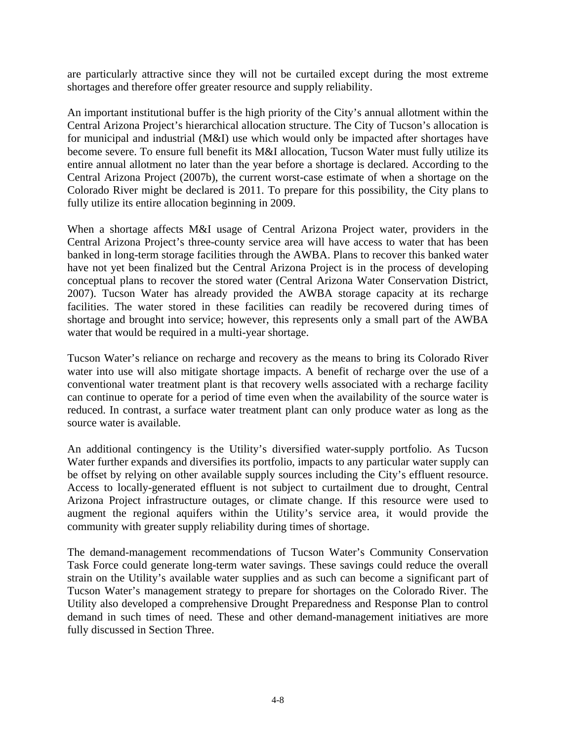are particularly attractive since they will not be curtailed except during the most extreme shortages and therefore offer greater resource and supply reliability.

An important institutional buffer is the high priority of the City's annual allotment within the Central Arizona Project's hierarchical allocation structure. The City of Tucson's allocation is for municipal and industrial (M&I) use which would only be impacted after shortages have become severe. To ensure full benefit its M&I allocation, Tucson Water must fully utilize its entire annual allotment no later than the year before a shortage is declared. According to the Central Arizona Project (2007b), the current worst-case estimate of when a shortage on the Colorado River might be declared is 2011. To prepare for this possibility, the City plans to fully utilize its entire allocation beginning in 2009.

When a shortage affects M&I usage of Central Arizona Project water, providers in the Central Arizona Project's three-county service area will have access to water that has been banked in long-term storage facilities through the AWBA. Plans to recover this banked water have not yet been finalized but the Central Arizona Project is in the process of developing conceptual plans to recover the stored water (Central Arizona Water Conservation District, 2007). Tucson Water has already provided the AWBA storage capacity at its recharge facilities. The water stored in these facilities can readily be recovered during times of shortage and brought into service; however, this represents only a small part of the AWBA water that would be required in a multi-year shortage.

Tucson Water's reliance on recharge and recovery as the means to bring its Colorado River water into use will also mitigate shortage impacts. A benefit of recharge over the use of a conventional water treatment plant is that recovery wells associated with a recharge facility can continue to operate for a period of time even when the availability of the source water is reduced. In contrast, a surface water treatment plant can only produce water as long as the source water is available.

An additional contingency is the Utility's diversified water-supply portfolio. As Tucson Water further expands and diversifies its portfolio, impacts to any particular water supply can be offset by relying on other available supply sources including the City's effluent resource. Access to locally-generated effluent is not subject to curtailment due to drought, Central Arizona Project infrastructure outages, or climate change. If this resource were used to augment the regional aquifers within the Utility's service area, it would provide the community with greater supply reliability during times of shortage.

The demand-management recommendations of Tucson Water's Community Conservation Task Force could generate long-term water savings. These savings could reduce the overall strain on the Utility's available water supplies and as such can become a significant part of Tucson Water's management strategy to prepare for shortages on the Colorado River. The Utility also developed a comprehensive Drought Preparedness and Response Plan to control demand in such times of need. These and other demand-management initiatives are more fully discussed in Section Three.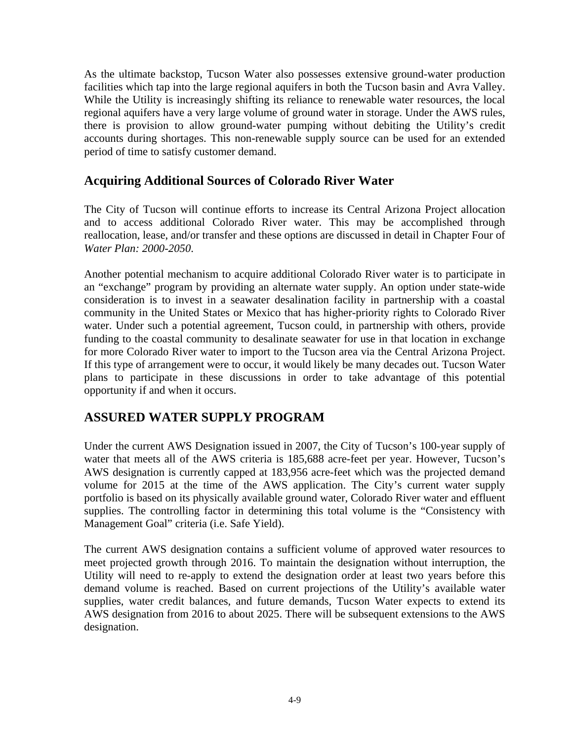As the ultimate backstop, Tucson Water also possesses extensive ground-water production facilities which tap into the large regional aquifers in both the Tucson basin and Avra Valley. While the Utility is increasingly shifting its reliance to renewable water resources, the local regional aquifers have a very large volume of ground water in storage. Under the AWS rules, there is provision to allow ground-water pumping without debiting the Utility's credit accounts during shortages. This non-renewable supply source can be used for an extended period of time to satisfy customer demand.

### **Acquiring Additional Sources of Colorado River Water**

The City of Tucson will continue efforts to increase its Central Arizona Project allocation and to access additional Colorado River water. This may be accomplished through reallocation, lease, and/or transfer and these options are discussed in detail in Chapter Four of *Water Plan: 2000-2050*.

Another potential mechanism to acquire additional Colorado River water is to participate in an "exchange" program by providing an alternate water supply. An option under state-wide consideration is to invest in a seawater desalination facility in partnership with a coastal community in the United States or Mexico that has higher-priority rights to Colorado River water. Under such a potential agreement, Tucson could, in partnership with others, provide funding to the coastal community to desalinate seawater for use in that location in exchange for more Colorado River water to import to the Tucson area via the Central Arizona Project. If this type of arrangement were to occur, it would likely be many decades out. Tucson Water plans to participate in these discussions in order to take advantage of this potential opportunity if and when it occurs.

# **ASSURED WATER SUPPLY PROGRAM**

Under the current AWS Designation issued in 2007, the City of Tucson's 100-year supply of water that meets all of the AWS criteria is 185,688 acre-feet per year. However, Tucson's AWS designation is currently capped at 183,956 acre-feet which was the projected demand volume for 2015 at the time of the AWS application. The City's current water supply portfolio is based on its physically available ground water, Colorado River water and effluent supplies. The controlling factor in determining this total volume is the "Consistency with Management Goal" criteria (i.e. Safe Yield).

The current AWS designation contains a sufficient volume of approved water resources to meet projected growth through 2016. To maintain the designation without interruption, the Utility will need to re-apply to extend the designation order at least two years before this demand volume is reached. Based on current projections of the Utility's available water supplies, water credit balances, and future demands, Tucson Water expects to extend its AWS designation from 2016 to about 2025. There will be subsequent extensions to the AWS designation.